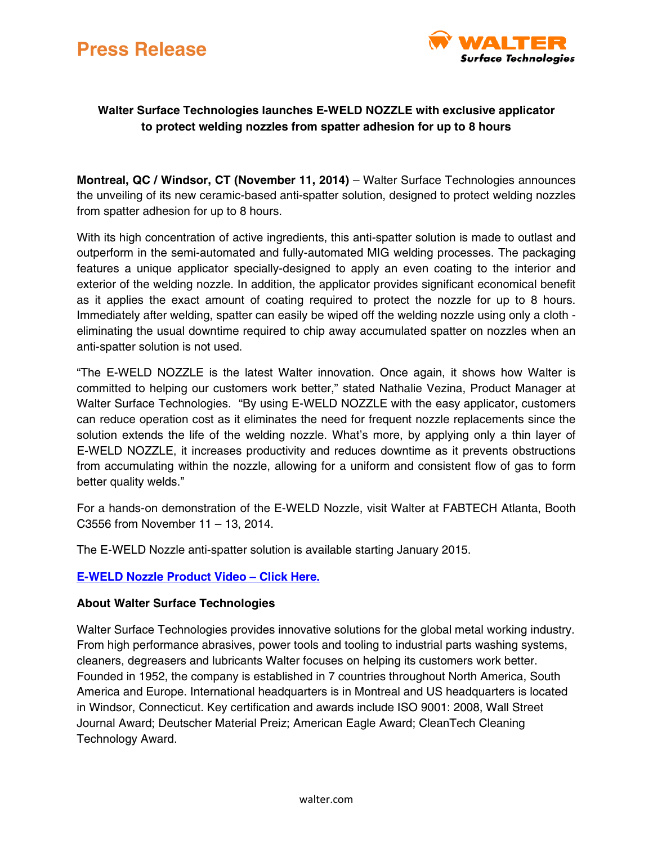

# **Walter Surface Technologies launches E-WELD NOZZLE with exclusive applicator to protect welding nozzles from spatter adhesion for up to 8 hours**

**Montreal, QC / Windsor, CT (November 11, 2014)** – Walter Surface Technologies announces the unveiling of its new ceramic-based anti-spatter solution, designed to protect welding nozzles from spatter adhesion for up to 8 hours.

With its high concentration of active ingredients, this anti-spatter solution is made to outlast and outperform in the semi-automated and fully-automated MIG welding processes. The packaging features a unique applicator specially-designed to apply an even coating to the interior and exterior of the welding nozzle. In addition, the applicator provides significant economical benefit as it applies the exact amount of coating required to protect the nozzle for up to 8 hours. Immediately after welding, spatter can easily be wiped off the welding nozzle using only a cloth eliminating the usual downtime required to chip away accumulated spatter on nozzles when an anti-spatter solution is not used.

"The E-WELD NOZZLE is the latest Walter innovation. Once again, it shows how Walter is committed to helping our customers work better," stated Nathalie Vezina, Product Manager at Walter Surface Technologies. "By using E-WELD NOZZLE with the easy applicator, customers can reduce operation cost as it eliminates the need for frequent nozzle replacements since the solution extends the life of the welding nozzle. What's more, by applying only a thin layer of E-WELD NOZZLE, it increases productivity and reduces downtime as it prevents obstructions from accumulating within the nozzle, allowing for a uniform and consistent flow of gas to form better quality welds."

For a hands-on demonstration of the E-WELD Nozzle, visit Walter at FABTECH Atlanta, Booth C3556 from November 11 – 13, 2014.

The E-WELD Nozzle anti-spatter solution is available starting January 2015.

## **[E-WELD Nozzle Product Video –](http://youtu.be/DKgTvn2braw) Click Here.**

#### **About Walter Surface Technologies**

Walter Surface Technologies provides innovative solutions for the global metal working industry. From high performance abrasives, power tools and tooling to industrial parts washing systems, cleaners, degreasers and lubricants Walter focuses on helping its customers work better. Founded in 1952, the company is established in 7 countries throughout North America, South America and Europe. International headquarters is in Montreal and US headquarters is located in Windsor, Connecticut. Key certification and awards include ISO 9001: 2008, Wall Street Journal Award; Deutscher Material Preiz; American Eagle Award; CleanTech Cleaning Technology Award.